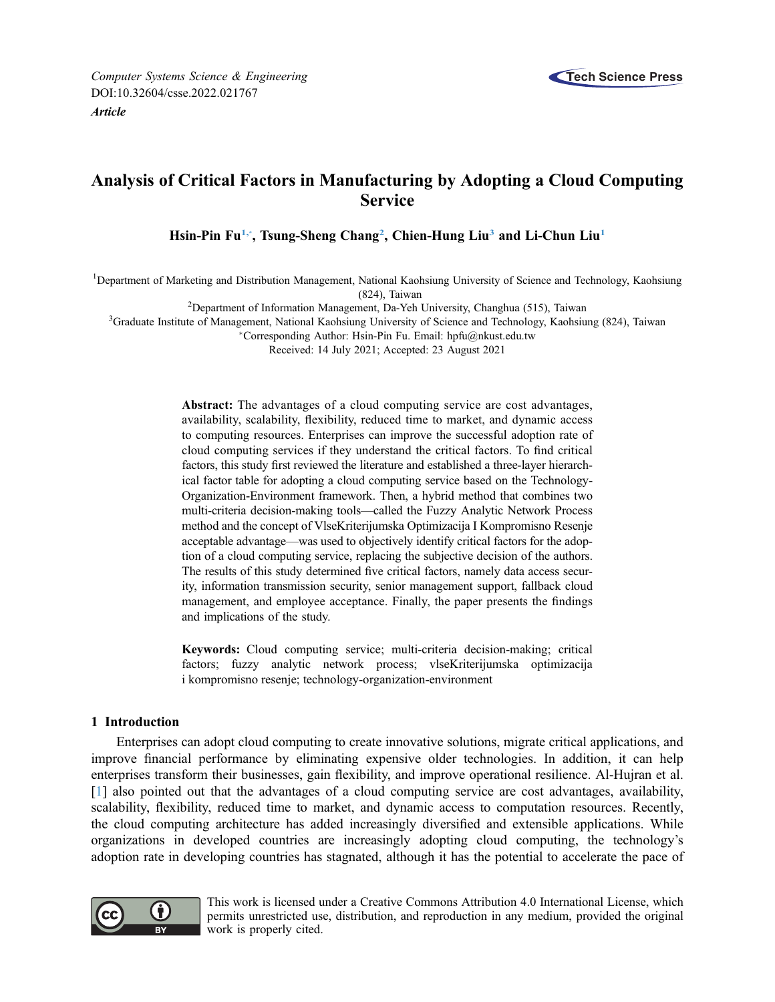

# Analysis of Critical Factors in Manufacturing by Adopting a Cloud Computing **Service**

Hsin-Pin Fu<sup>1,</sup>[\\*](#page-0-1), Tsung-Sheng Chang<sup>[2](#page-0-2)</sup>, Chien-Hung Liu<sup>[3](#page-0-3)</sup> and Li-Chun Liu<sup>[1](#page-0-0)</sup>

<span id="page-0-0"></span><sup>1</sup>Department of Marketing and Distribution Management, National Kaohsiung University of Science and Technology, Kaohsiung (824), Taiwan)<br><sup>2</sup>Department of Information Management, Da-Veh

<span id="page-0-2"></span> $\degree$  Department of Information Management, Da-Yeh University, Changhua (515), Taiwan <sup>3</sup> Graduate Institute of Management, National Kaobsiung University of Science and Technology, Kaobsiu

<span id="page-0-3"></span><span id="page-0-1"></span><sup>3</sup>Graduate Institute of Management, National Kaohsiung University of Science and Technology, Kaohsiung (824), Taiwan

Corresponding Author: Hsin-Pin Fu. Email: [hpfu@nkust.edu.tw](mailto:hpfu@nkust.edu.tw)

Received: 14 July 2021; Accepted: 23 August 2021

Abstract: The advantages of a cloud computing service are cost advantages, availability, scalability, flexibility, reduced time to market, and dynamic access to computing resources. Enterprises can improve the successful adoption rate of cloud computing services if they understand the critical factors. To find critical factors, this study first reviewed the literature and established a three-layer hierarchical factor table for adopting a cloud computing service based on the Technology-Organization-Environment framework. Then, a hybrid method that combines two multi-criteria decision-making tools—called the Fuzzy Analytic Network Process method and the concept of VlseKriterijumska Optimizacija I Kompromisno Resenje acceptable advantage—was used to objectively identify critical factors for the adoption of a cloud computing service, replacing the subjective decision of the authors. The results of this study determined five critical factors, namely data access security, information transmission security, senior management support, fallback cloud management, and employee acceptance. Finally, the paper presents the findings and implications of the study.

Keywords: Cloud computing service; multi-criteria decision-making; critical factors; fuzzy analytic network process; vlseKriterijumska optimizacija i kompromisno resenje; technology-organization-environment

## 1 Introduction

Enterprises can adopt cloud computing to create innovative solutions, migrate critical applications, and improve financial performance by eliminating expensive older technologies. In addition, it can help enterprises transform their businesses, gain flexibility, and improve operational resilience. Al-Hujran et al. [[1](#page-12-0)] also pointed out that the advantages of a cloud computing service are cost advantages, availability, scalability, flexibility, reduced time to market, and dynamic access to computation resources. Recently, the cloud computing architecture has added increasingly diversified and extensible applications. While organizations in developed countries are increasingly adopting cloud computing, the technology's adoption rate in developing countries has stagnated, although it has the potential to accelerate the pace of



This work is licensed under a Creative Commons Attribution 4.0 International License, which permits unrestricted use, distribution, and reproduction in any medium, provided the original work is properly cited.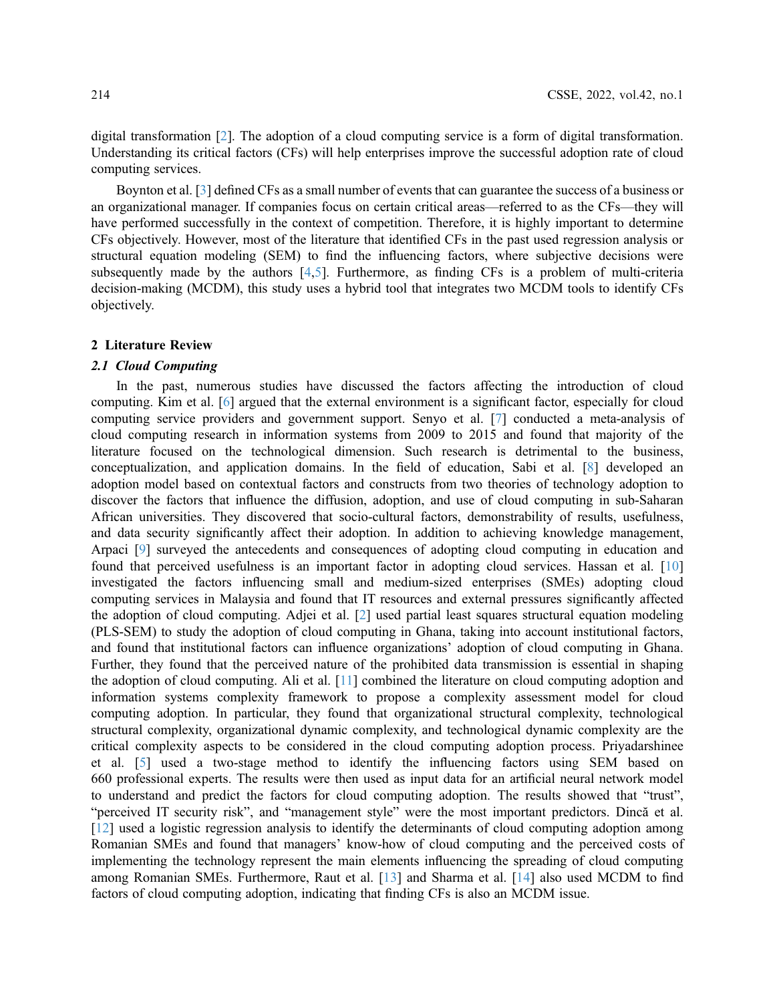digital transformation [\[2\]](#page-12-1). The adoption of a cloud computing service is a form of digital transformation. Understanding its critical factors (CFs) will help enterprises improve the successful adoption rate of cloud computing services.

Boynton et al. [\[3\]](#page-12-2) defined CFs as a small number of events that can guarantee the success of a business or an organizational manager. If companies focus on certain critical areas—referred to as the CFs—they will have performed successfully in the context of competition. Therefore, it is highly important to determine CFs objectively. However, most of the literature that identified CFs in the past used regression analysis or structural equation modeling (SEM) to find the influencing factors, where subjective decisions were subsequently made by the authors [[4](#page-13-0),[5](#page-13-1)]. Furthermore, as finding CFs is a problem of multi-criteria decision-making (MCDM), this study uses a hybrid tool that integrates two MCDM tools to identify CFs objectively.

#### 2 Literature Review

#### 2.1 Cloud Computing

In the past, numerous studies have discussed the factors affecting the introduction of cloud computing. Kim et al. [\[6\]](#page-13-2) argued that the external environment is a significant factor, especially for cloud computing service providers and government support. Senyo et al. [\[7\]](#page-13-3) conducted a meta-analysis of cloud computing research in information systems from 2009 to 2015 and found that majority of the literature focused on the technological dimension. Such research is detrimental to the business, conceptualization, and application domains. In the field of education, Sabi et al. [[8](#page-13-4)] developed an adoption model based on contextual factors and constructs from two theories of technology adoption to discover the factors that influence the diffusion, adoption, and use of cloud computing in sub-Saharan African universities. They discovered that socio-cultural factors, demonstrability of results, usefulness, and data security significantly affect their adoption. In addition to achieving knowledge management, Arpaci [[9](#page-13-5)] surveyed the antecedents and consequences of adopting cloud computing in education and found that perceived usefulness is an important factor in adopting cloud services. Hassan et al. [[10\]](#page-13-6) investigated the factors influencing small and medium-sized enterprises (SMEs) adopting cloud computing services in Malaysia and found that IT resources and external pressures significantly affected the adoption of cloud computing. Adjei et al. [[2](#page-12-1)] used partial least squares structural equation modeling (PLS-SEM) to study the adoption of cloud computing in Ghana, taking into account institutional factors, and found that institutional factors can influence organizations' adoption of cloud computing in Ghana. Further, they found that the perceived nature of the prohibited data transmission is essential in shaping the adoption of cloud computing. Ali et al. [\[11](#page-13-7)] combined the literature on cloud computing adoption and information systems complexity framework to propose a complexity assessment model for cloud computing adoption. In particular, they found that organizational structural complexity, technological structural complexity, organizational dynamic complexity, and technological dynamic complexity are the critical complexity aspects to be considered in the cloud computing adoption process. Priyadarshinee et al. [\[5\]](#page-13-1) used a two-stage method to identify the influencing factors using SEM based on 660 professional experts. The results were then used as input data for an artificial neural network model to understand and predict the factors for cloud computing adoption. The results showed that "trust", "perceived IT security risk", and "management style" were the most important predictors. Dincă et al. [[12](#page-13-8)] used a logistic regression analysis to identify the determinants of cloud computing adoption among Romanian SMEs and found that managers' know-how of cloud computing and the perceived costs of implementing the technology represent the main elements influencing the spreading of cloud computing among Romanian SMEs. Furthermore, Raut et al. [[13\]](#page-13-9) and Sharma et al. [\[14](#page-13-10)] also used MCDM to find factors of cloud computing adoption, indicating that finding CFs is also an MCDM issue.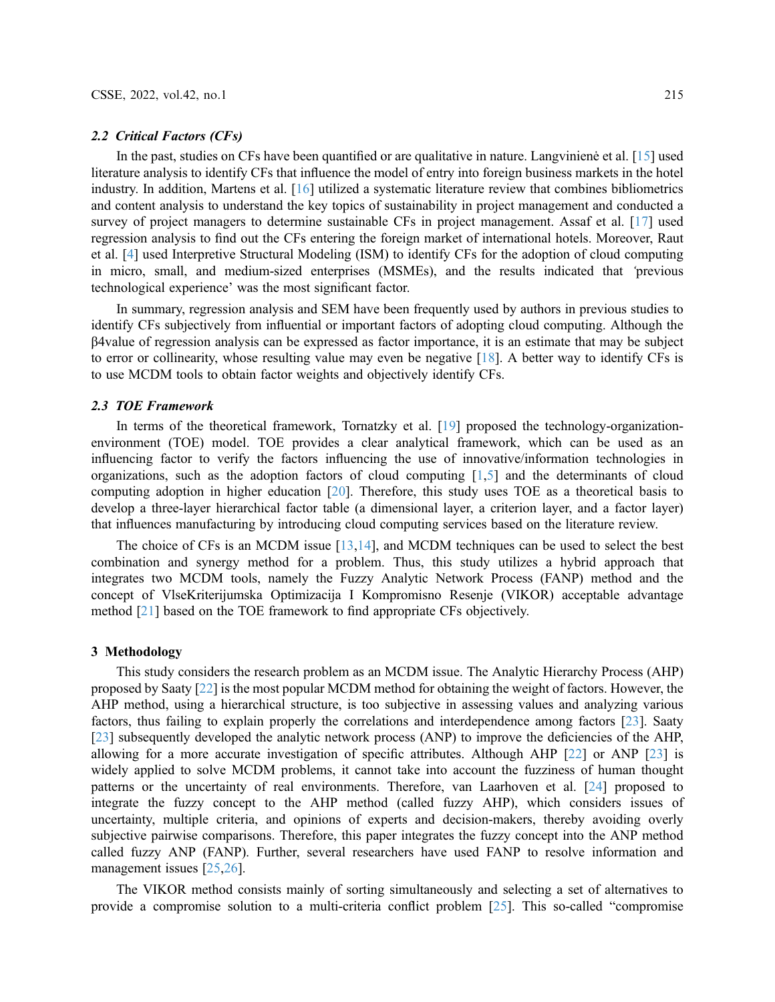#### 2.2 Critical Factors (CFs)

In the past, studies on CFs have been quantified or are qualitative in nature. Langvinienė et al. [\[15](#page-13-11)] used literature analysis to identify CFs that influence the model of entry into foreign business markets in the hotel industry. In addition, Martens et al. [[16\]](#page-13-12) utilized a systematic literature review that combines bibliometrics and content analysis to understand the key topics of sustainability in project management and conducted a survey of project managers to determine sustainable CFs in project management. Assaf et al. [\[17](#page-13-13)] used regression analysis to find out the CFs entering the foreign market of international hotels. Moreover, Raut et al. [\[4\]](#page-13-0) used Interpretive Structural Modeling (ISM) to identify CFs for the adoption of cloud computing in micro, small, and medium-sized enterprises (MSMEs), and the results indicated that 'previous technological experience' was the most significant factor.

In summary, regression analysis and SEM have been frequently used by authors in previous studies to identify CFs subjectively from influential or important factors of adopting cloud computing. Although the β4value of regression analysis can be expressed as factor importance, it is an estimate that may be subject to error or collinearity, whose resulting value may even be negative [\[18](#page-13-14)]. A better way to identify CFs is to use MCDM tools to obtain factor weights and objectively identify CFs.

#### 2.3 TOE Framework

In terms of the theoretical framework, Tornatzky et al. [\[19](#page-13-15)] proposed the technology-organizationenvironment (TOE) model. TOE provides a clear analytical framework, which can be used as an influencing factor to verify the factors influencing the use of innovative/information technologies in organizations, such as the adoption factors of cloud computing [[1](#page-12-0),[5](#page-13-1)] and the determinants of cloud computing adoption in higher education [\[20](#page-13-16)]. Therefore, this study uses TOE as a theoretical basis to develop a three-layer hierarchical factor table (a dimensional layer, a criterion layer, and a factor layer) that influences manufacturing by introducing cloud computing services based on the literature review.

The choice of CFs is an MCDM issue [[13](#page-13-9)[,14](#page-13-10)], and MCDM techniques can be used to select the best combination and synergy method for a problem. Thus, this study utilizes a hybrid approach that integrates two MCDM tools, namely the Fuzzy Analytic Network Process (FANP) method and the concept of VlseKriterijumska Optimizacija I Kompromisno Resenje (VIKOR) acceptable advantage method [\[21](#page-13-17)] based on the TOE framework to find appropriate CFs objectively.

### 3 Methodology

This study considers the research problem as an MCDM issue. The Analytic Hierarchy Process (AHP) proposed by Saaty [[22\]](#page-13-18) is the most popular MCDM method for obtaining the weight of factors. However, the AHP method, using a hierarchical structure, is too subjective in assessing values and analyzing various factors, thus failing to explain properly the correlations and interdependence among factors [\[23](#page-13-19)]. Saaty [[23](#page-13-19)] subsequently developed the analytic network process (ANP) to improve the deficiencies of the AHP, allowing for a more accurate investigation of specific attributes. Although AHP [\[22](#page-13-18)] or ANP [\[23](#page-13-19)] is widely applied to solve MCDM problems, it cannot take into account the fuzziness of human thought patterns or the uncertainty of real environments. Therefore, van Laarhoven et al. [\[24](#page-13-20)] proposed to integrate the fuzzy concept to the AHP method (called fuzzy AHP), which considers issues of uncertainty, multiple criteria, and opinions of experts and decision-makers, thereby avoiding overly subjective pairwise comparisons. Therefore, this paper integrates the fuzzy concept into the ANP method called fuzzy ANP (FANP). Further, several researchers have used FANP to resolve information and management issues [\[25](#page-14-0)[,26\]](#page-14-1).

The VIKOR method consists mainly of sorting simultaneously and selecting a set of alternatives to provide a compromise solution to a multi-criteria conflict problem [[25\]](#page-14-0). This so-called "compromise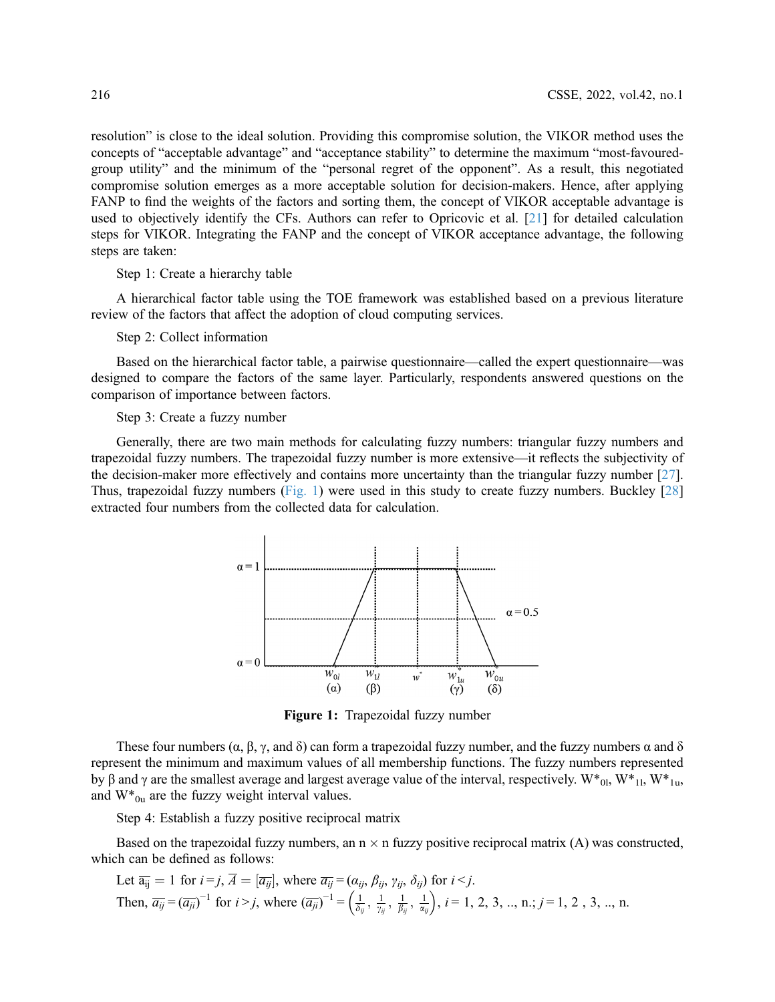resolution" is close to the ideal solution. Providing this compromise solution, the VIKOR method uses the concepts of "acceptable advantage" and "acceptance stability" to determine the maximum "most-favouredgroup utility" and the minimum of the "personal regret of the opponent". As a result, this negotiated compromise solution emerges as a more acceptable solution for decision-makers. Hence, after applying FANP to find the weights of the factors and sorting them, the concept of VIKOR acceptable advantage is used to objectively identify the CFs. Authors can refer to Opricovic et al. [[21\]](#page-13-17) for detailed calculation steps for VIKOR. Integrating the FANP and the concept of VIKOR acceptance advantage, the following steps are taken:

Step 1: Create a hierarchy table

A hierarchical factor table using the TOE framework was established based on a previous literature review of the factors that affect the adoption of cloud computing services.

Step 2: Collect information

Based on the hierarchical factor table, a pairwise questionnaire—called the expert questionnaire—was designed to compare the factors of the same layer. Particularly, respondents answered questions on the comparison of importance between factors.

Step 3: Create a fuzzy number

<span id="page-3-0"></span>Generally, there are two main methods for calculating fuzzy numbers: triangular fuzzy numbers and trapezoidal fuzzy numbers. The trapezoidal fuzzy number is more extensive—it reflects the subjectivity of the decision-maker more effectively and contains more uncertainty than the triangular fuzzy number [[27\]](#page-14-2). Thus, trapezoidal fuzzy numbers [\(Fig. 1\)](#page-3-0) were used in this study to create fuzzy numbers. Buckley [[28\]](#page-14-3) extracted four numbers from the collected data for calculation.



Figure 1: Trapezoidal fuzzy number

These four numbers ( $\alpha$ ,  $\beta$ ,  $\gamma$ , and  $\delta$ ) can form a trapezoidal fuzzy number, and the fuzzy numbers  $\alpha$  and  $\delta$ represent the minimum and maximum values of all membership functions. The fuzzy numbers represented by β and γ are the smallest average and largest average value of the interval, respectively. W\*<sub>0l</sub>, W\*<sub>1l</sub>, W\*<sub>1u</sub>, and  $W^*_{0u}$  are the fuzzy weight interval values.

Step 4: Establish a fuzzy positive reciprocal matrix

Based on the trapezoidal fuzzy numbers, an  $n \times n$  fuzzy positive reciprocal matrix (A) was constructed, which can be defined as follows:

Let 
$$
\overline{a_{ij}} = 1
$$
 for  $i = j$ ,  $\overline{A} = [\overline{a_{ij}}]$ , where  $\overline{a_{ij}} = (\alpha_{ij}, \beta_{ij}, \gamma_{ij}, \delta_{ij})$  for  $i < j$ .  
Then,  $\overline{a_{ij}} = (\overline{a_{ji}})^{-1}$  for  $i > j$ , where  $(\overline{a_{ji}})^{-1} = \left(\frac{1}{\delta_{ij}}, \frac{1}{\gamma_{ij}}, \frac{1}{\beta_{ij}}, \frac{1}{\alpha_{ij}}\right)$ ,  $i = 1, 2, 3, ..., n; j = 1, 2, 3, ..., n$ .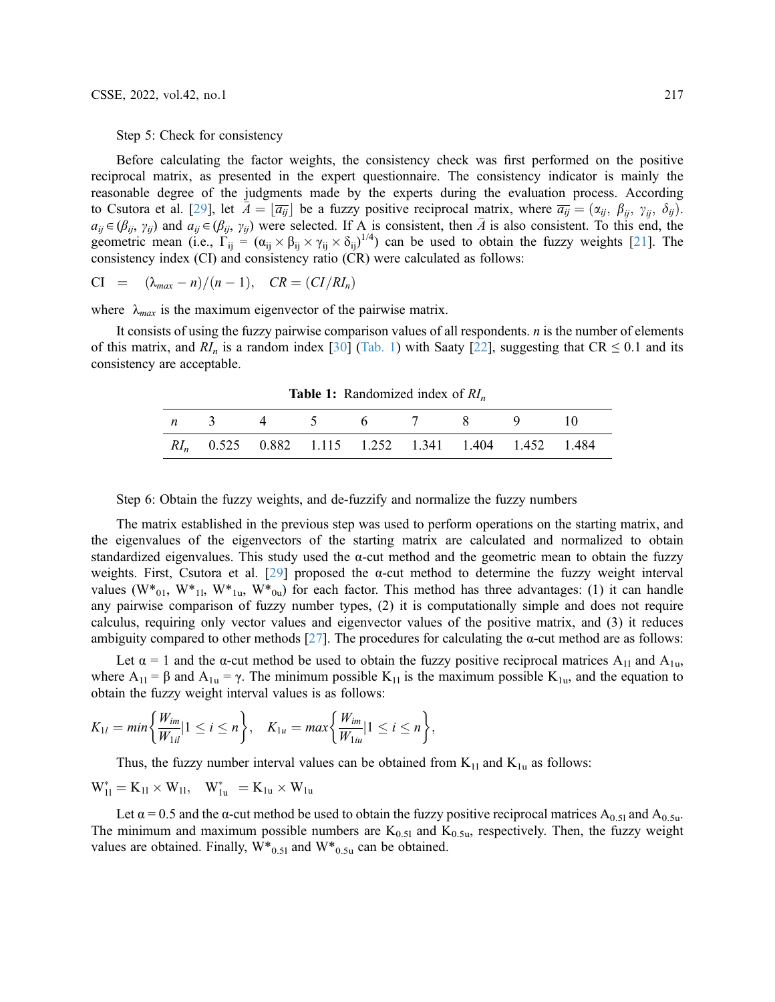Step 5: Check for consistency

Before calculating the factor weights, the consistency check was first performed on the positive reciprocal matrix, as presented in the expert questionnaire. The consistency indicator is mainly the reasonable degree of the judgments made by the experts during the evaluation process. According to Csutora et al. [[29\]](#page-14-4), let  $\bar{A} = |\bar{a}_{ij}|$  be a fuzzy positive reciprocal matrix, where  $\bar{a}_{ij} = (\alpha_{ij}, \beta_{ij}, \gamma_{ij}, \delta_{ij})$ .  $a_{ij} \in (\beta_{ij}, \gamma_{ij})$  and  $a_{ij} \in (\beta_{ij}, \gamma_{ij})$  were selected. If A is consistent, then  $\bar{A}$  is also consistent. To this end, the geometric mean (i.e.,  $\Gamma_{ij} = (\alpha_{ij} \times \beta_{ij} \times \gamma_{ij} \times \delta_{ij})^{1/4}$ ) can be used to obtain the fuzzy weights [[21\]](#page-13-17). The consistency index (CI) and consistency ratio (CR) were calculated as follows:

$$
CI = (\lambda_{max} - n)/(n - 1), \quad CR = (CI/RI_n)
$$

where  $\lambda_{max}$  is the maximum eigenvector of the pairwise matrix.

It consists of using the fuzzy pairwise comparison values of all respondents. n is the number of elements of this matrix, and  $RI_n$  is a random index [\[30](#page-14-5)] [\(Tab. 1](#page-4-0)) with Saaty [\[22](#page-13-18)], suggesting that CR  $\leq 0.1$  and its consistency are acceptable.

**Table 1:** Randomized index of  $RI_n$ 

<span id="page-4-0"></span>

|  | <i>n</i> 3 4 5 6 7 8 9 10                              |  |  |  |
|--|--------------------------------------------------------|--|--|--|
|  | $RI_n$ 0.525 0.882 1.115 1.252 1.341 1.404 1.452 1.484 |  |  |  |

Step 6: Obtain the fuzzy weights, and de-fuzzify and normalize the fuzzy numbers

The matrix established in the previous step was used to perform operations on the starting matrix, and the eigenvalues of the eigenvectors of the starting matrix are calculated and normalized to obtain standardized eigenvalues. This study used the  $\alpha$ -cut method and the geometric mean to obtain the fuzzy weights. First, Csutora et al. [\[29\]](#page-14-4) proposed the  $\alpha$ -cut method to determine the fuzzy weight interval values  $(W^*_{01}, W^*_{11}, W^*_{1u}, W^*_{0u})$  for each factor. This method has three advantages: (1) it can handle any pairwise comparison of fuzzy number types, (2) it is computationally simple and does not require calculus, requiring only vector values and eigenvector values of the positive matrix, and (3) it reduces ambiguity compared to other methods [\[27](#page-14-2)]. The procedures for calculating the  $\alpha$ -cut method are as follows:

Let  $\alpha$  = 1 and the  $\alpha$ -cut method be used to obtain the fuzzy positive reciprocal matrices A<sub>11</sub> and A<sub>1u</sub>, where  $A_{11} = \beta$  and  $A_{1u} = \gamma$ . The minimum possible  $K_{11}$  is the maximum possible  $K_{1u}$ , and the equation to obtain the fuzzy weight interval values is as follows:

$$
K_{1l} = min\bigg\{\frac{W_{im}}{W_{1il}}|1 \leq i \leq n\bigg\}, \quad K_{1u} = max\bigg\{\frac{W_{im}}{W_{1iu}}|1 \leq i \leq n\bigg\},\
$$

Thus, the fuzzy number interval values can be obtained from  $K_{11}$  and  $K_{1u}$  as follows:

$$
W_{11}^* = K_{11} \times W_{11}, \quad W_{1u}^* = K_{1u} \times W_{1u}
$$

Let  $\alpha$  = 0.5 and the  $\alpha$ -cut method be used to obtain the fuzzy positive reciprocal matrices A<sub>0.51</sub> and A<sub>0.5u</sub>. The minimum and maximum possible numbers are  $K_{0.51}$  and  $K_{0.5u}$ , respectively. Then, the fuzzy weight values are obtained. Finally,  $W_{0.51}^*$  and  $W_{0.5u}^*$  can be obtained.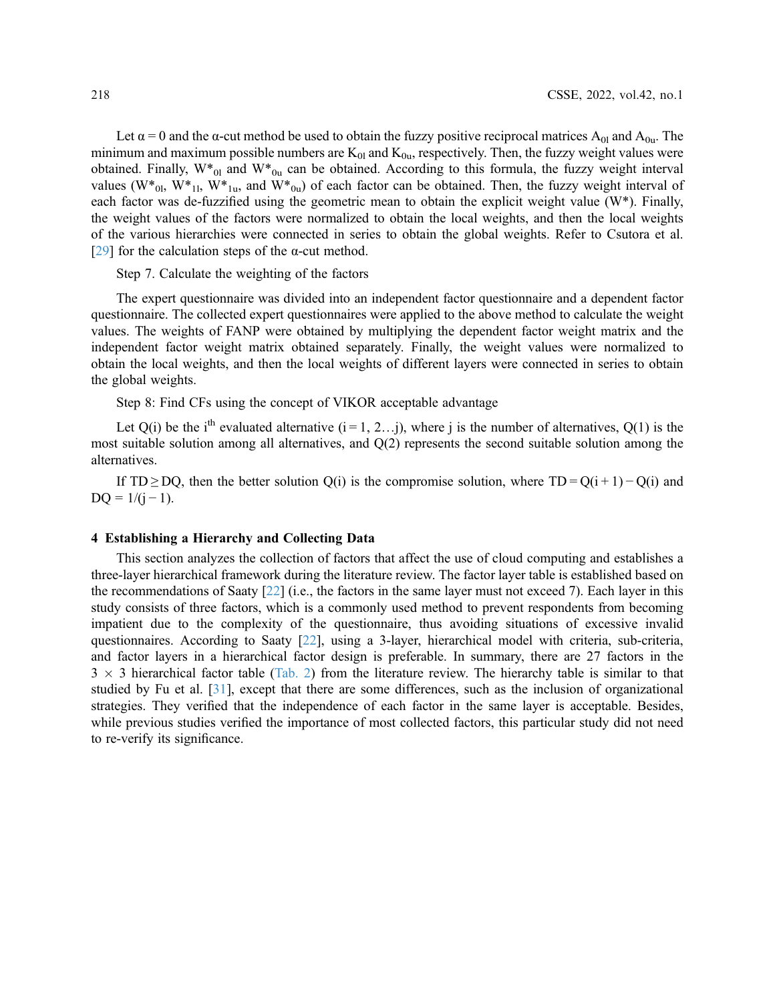Let  $\alpha = 0$  and the  $\alpha$ -cut method be used to obtain the fuzzy positive reciprocal matrices A<sub>01</sub> and A<sub>0u</sub>. The minimum and maximum possible numbers are  $K_{01}$  and  $K_{0u}$ , respectively. Then, the fuzzy weight values were obtained. Finally,  $W_{0l}^*$  and  $W_{0u}^*$  can be obtained. According to this formula, the fuzzy weight interval values ( $W^*_{0l}$ ,  $W^*_{1l}$ ,  $W^*_{1u}$ , and  $W^*_{0u}$ ) of each factor can be obtained. Then, the fuzzy weight interval of each factor was de-fuzzified using the geometric mean to obtain the explicit weight value (W\*). Finally, the weight values of the factors were normalized to obtain the local weights, and then the local weights of the various hierarchies were connected in series to obtain the global weights. Refer to Csutora et al. [[29](#page-14-4)] for the calculation steps of the  $\alpha$ -cut method.

Step 7. Calculate the weighting of the factors

The expert questionnaire was divided into an independent factor questionnaire and a dependent factor questionnaire. The collected expert questionnaires were applied to the above method to calculate the weight values. The weights of FANP were obtained by multiplying the dependent factor weight matrix and the independent factor weight matrix obtained separately. Finally, the weight values were normalized to obtain the local weights, and then the local weights of different layers were connected in series to obtain the global weights.

Step 8: Find CFs using the concept of VIKOR acceptable advantage

Let  $Q(i)$  be the i<sup>th</sup> evaluated alternative  $(i = 1, 2...j)$ , where j is the number of alternatives,  $Q(1)$  is the most suitable solution among all alternatives, and Q(2) represents the second suitable solution among the alternatives.

If TD ≥ DQ, then the better solution Q(i) is the compromise solution, where TD = Q(i + 1) – Q(i) and  $DQ = 1/(j - 1)$ .

### 4 Establishing a Hierarchy and Collecting Data

This section analyzes the collection of factors that affect the use of cloud computing and establishes a three-layer hierarchical framework during the literature review. The factor layer table is established based on the recommendations of Saaty [[22](#page-13-18)] (i.e., the factors in the same layer must not exceed 7). Each layer in this study consists of three factors, which is a commonly used method to prevent respondents from becoming impatient due to the complexity of the questionnaire, thus avoiding situations of excessive invalid questionnaires. According to Saaty [\[22](#page-13-18)], using a 3-layer, hierarchical model with criteria, sub-criteria, and factor layers in a hierarchical factor design is preferable. In summary, there are 27 factors in the  $3 \times 3$  hierarchical factor table [\(Tab. 2\)](#page-6-0) from the literature review. The hierarchy table is similar to that studied by Fu et al. [\[31](#page-14-6)], except that there are some differences, such as the inclusion of organizational strategies. They verified that the independence of each factor in the same layer is acceptable. Besides, while previous studies verified the importance of most collected factors, this particular study did not need to re-verify its significance.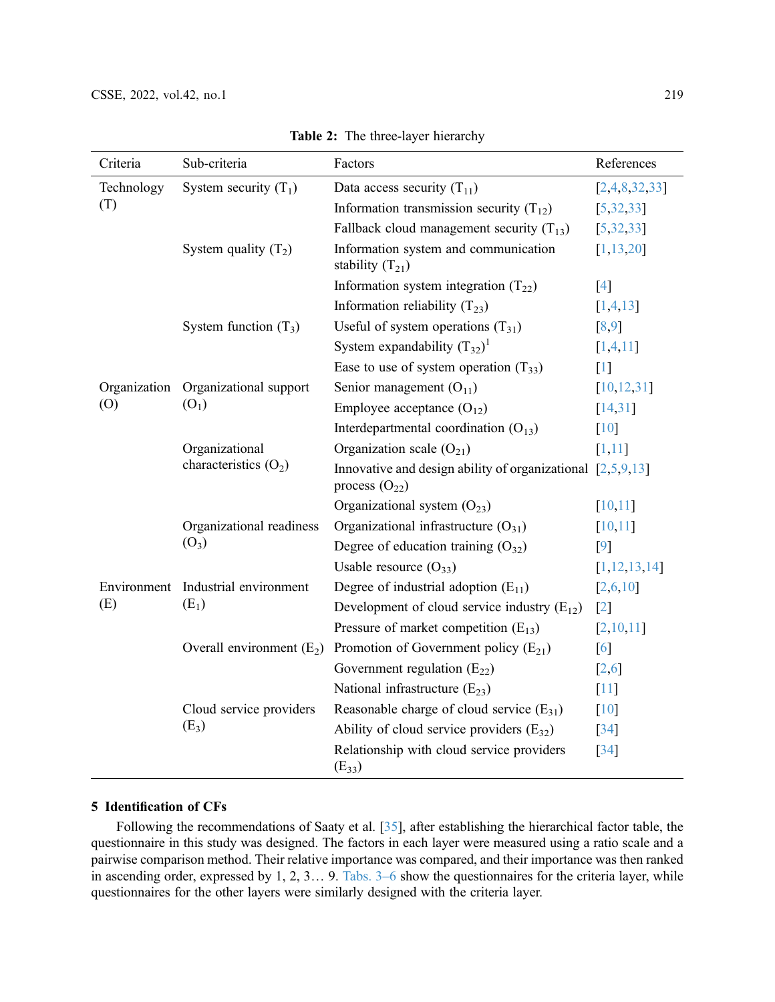<span id="page-6-0"></span>

| Criteria     | Sub-criteria                       | Factors                                                                            | References         |
|--------------|------------------------------------|------------------------------------------------------------------------------------|--------------------|
| Technology   | System security $(T_1)$            | Data access security $(T_{11})$                                                    | [2,4,8,32,33]      |
| (T)          |                                    | Information transmission security $(T_{12})$                                       | [5, 32, 33]        |
|              |                                    | Fallback cloud management security $(T_{13})$                                      | [5, 32, 33]        |
|              | System quality $(T_2)$             | Information system and communication<br>stability $(T_{21})$                       | [1, 13, 20]        |
|              |                                    | Information system integration $(T_{22})$                                          | $[4]$              |
|              |                                    | Information reliability $(T_{23})$                                                 | [1,4,13]           |
|              | System function $(T_3)$            | Useful of system operations $(T_{31})$                                             | [8,9]              |
|              |                                    | System expandability $(T_{32})^1$                                                  | [1,4,11]           |
|              |                                    | Ease to use of system operation $(T_{33})$                                         | $[1]$              |
| Organization | Organizational support             | Senior management $(O_{11})$                                                       | [10, 12, 31]       |
| (0)          | $(O_1)$                            | Employee acceptance $(O_{12})$                                                     | [14, 31]           |
|              |                                    | Interdepartmental coordination $(O_{13})$                                          | [10]               |
|              | Organizational                     | Organization scale $(O_{21})$                                                      | [1,11]             |
|              | characteristics $(O_2)$            | Innovative and design ability of organizational $[2,5,9,13]$<br>process $(O_{22})$ |                    |
|              |                                    | Organizational system $(O_{23})$                                                   | [10, 11]           |
|              | Organizational readiness           | Organizational infrastructure $(O_{31})$                                           | [10, 11]           |
|              | $(O_3)$                            | Degree of education training $(O_{32})$                                            | $\lceil 9 \rceil$  |
|              |                                    | Usable resource $(O_{33})$                                                         | [1, 12, 13, 14]    |
|              | Environment Industrial environment | Degree of industrial adoption $(E_{11})$                                           | [2,6,10]           |
| (E)          | $(E_1)$                            | Development of cloud service industry $(E_{12})$                                   | $\lceil 2 \rceil$  |
|              |                                    | Pressure of market competition $(E_{13})$                                          | [2,10,11]          |
|              | Overall environment $(E_2)$        | Promotion of Government policy $(E_{21})$                                          | [6]                |
|              |                                    | Government regulation $(E_{22})$                                                   | [2,6]              |
|              |                                    | National infrastructure $(E_{23})$                                                 | $[11]$             |
|              | Cloud service providers            | Reasonable charge of cloud service $(E_{31})$                                      | $\lceil 10 \rceil$ |
|              | $(E_3)$                            | Ability of cloud service providers $(E_{32})$                                      | $\lceil 34 \rceil$ |
|              |                                    | Relationship with cloud service providers<br>$(E_{33})$                            | $\left[34\right]$  |

Table 2: The three-layer hierarchy

# 5 Identification of CFs

Following the recommendations of Saaty et al. [[35\]](#page-14-7), after establishing the hierarchical factor table, the questionnaire in this study was designed. The factors in each layer were measured using a ratio scale and a pairwise comparison method. Their relative importance was compared, and their importance was then ranked in ascending order, expressed by 1, 2, 3… 9. Tabs. 3–6 show the questionnaires for the criteria layer, while questionnaires for the other layers were similarly designed with the criteria layer.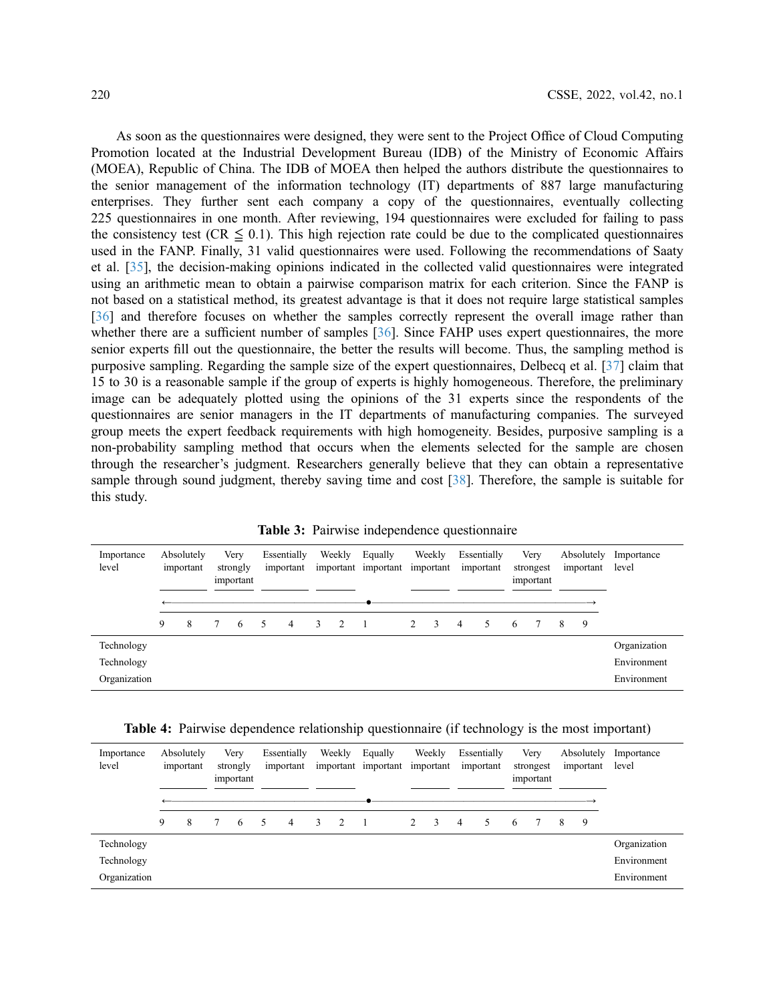As soon as the questionnaires were designed, they were sent to the Project Office of Cloud Computing Promotion located at the Industrial Development Bureau (IDB) of the Ministry of Economic Affairs (MOEA), Republic of China. The IDB of MOEA then helped the authors distribute the questionnaires to the senior management of the information technology (IT) departments of 887 large manufacturing enterprises. They further sent each company a copy of the questionnaires, eventually collecting 225 questionnaires in one month. After reviewing, 194 questionnaires were excluded for failing to pass the consistency test (CR  $\leq$  0.1). This high rejection rate could be due to the complicated questionnaires used in the FANP. Finally, 31 valid questionnaires were used. Following the recommendations of Saaty et al. [[35\]](#page-14-7), the decision-making opinions indicated in the collected valid questionnaires were integrated using an arithmetic mean to obtain a pairwise comparison matrix for each criterion. Since the FANP is not based on a statistical method, its greatest advantage is that it does not require large statistical samples [[36](#page-14-11)] and therefore focuses on whether the samples correctly represent the overall image rather than whether there are a sufficient number of samples [\[36](#page-14-11)]. Since FAHP uses expert questionnaires, the more senior experts fill out the questionnaire, the better the results will become. Thus, the sampling method is purposive sampling. Regarding the sample size of the expert questionnaires, Delbecq et al. [[37\]](#page-14-12) claim that 15 to 30 is a reasonable sample if the group of experts is highly homogeneous. Therefore, the preliminary image can be adequately plotted using the opinions of the 31 experts since the respondents of the questionnaires are senior managers in the IT departments of manufacturing companies. The surveyed group meets the expert feedback requirements with high homogeneity. Besides, purposive sampling is a non-probability sampling method that occurs when the elements selected for the sample are chosen through the researcher's judgment. Researchers generally believe that they can obtain a representative sample through sound judgment, thereby saving time and cost [[38](#page-14-13)]. Therefore, the sample is suitable for this study.

Table 3: Pairwise independence questionnaire

<span id="page-7-0"></span>

| Importance<br>level |   | Absolutely<br>important |   | Very<br>strongly<br>important |        | Essentially<br>important |               | Weekly         | Equally<br>important important |   | Weekly<br>important |                | Essentially<br>important |   | Very<br>strongest<br>important |   | Absolutely<br>important | Importance<br>level |
|---------------------|---|-------------------------|---|-------------------------------|--------|--------------------------|---------------|----------------|--------------------------------|---|---------------------|----------------|--------------------------|---|--------------------------------|---|-------------------------|---------------------|
|                     |   |                         |   |                               |        |                          |               |                |                                |   |                     |                |                          |   |                                |   |                         |                     |
|                     | 9 | 8                       | 7 | -6                            | $\sim$ | $\overline{4}$           | $\mathcal{E}$ | $\overline{2}$ |                                | 2 | $\mathcal{R}$       | $\overline{4}$ | 5                        | 6 | $\mathcal{I}$                  | 8 | 9                       |                     |
| Technology          |   |                         |   |                               |        |                          |               |                |                                |   |                     |                |                          |   |                                |   |                         | Organization        |
| Technology          |   |                         |   |                               |        |                          |               |                |                                |   |                     |                |                          |   |                                |   |                         | Environment         |
| Organization        |   |                         |   |                               |        |                          |               |                |                                |   |                     |                |                          |   |                                |   |                         | Environment         |

|  |  | <b>Table 4:</b> Pairwise dependence relationship questionnaire (if technology is the most important) |  |  |
|--|--|------------------------------------------------------------------------------------------------------|--|--|
|  |  |                                                                                                      |  |  |

| Importance<br>level | Absolutely<br>important |   | Very<br>strongly<br>important |     | Essentially<br>important |                | Weekly |   | Equally | Weekly<br>important important important |    | Essentially<br>important |        | Very<br>strongest<br>important |  |   | Absolutely<br>important | Importance<br>level |
|---------------------|-------------------------|---|-------------------------------|-----|--------------------------|----------------|--------|---|---------|-----------------------------------------|----|--------------------------|--------|--------------------------------|--|---|-------------------------|---------------------|
|                     | 9                       | 8 |                               | - 6 | 5                        | $\overline{4}$ | 3      | 2 |         | 2                                       | -3 | $\overline{4}$           | $\sim$ | -6                             |  | 8 | 9                       |                     |
| Technology          |                         |   |                               |     |                          |                |        |   |         |                                         |    |                          |        |                                |  |   |                         | Organization        |
| Technology          |                         |   |                               |     |                          |                |        |   |         |                                         |    |                          |        |                                |  |   |                         | Environment         |
| Organization        |                         |   |                               |     |                          |                |        |   |         |                                         |    |                          |        |                                |  |   |                         | Environment         |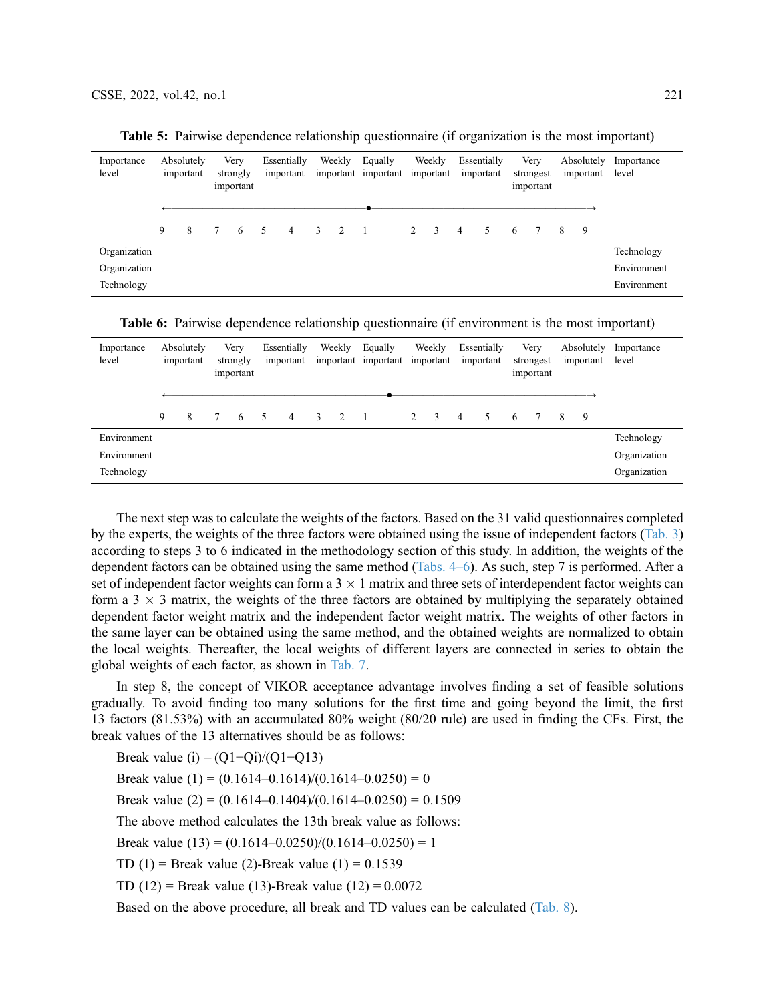| Importance<br>level | Absolutely<br>important |   | Very<br>strongly<br>important |    | Essentially<br>important |   | Weekly        | Equally<br>important important important |   | Weekly        |   | Essentially<br>important |   | Very<br>strongest<br>important |   | Absolutely<br>important | Importance<br>level |
|---------------------|-------------------------|---|-------------------------------|----|--------------------------|---|---------------|------------------------------------------|---|---------------|---|--------------------------|---|--------------------------------|---|-------------------------|---------------------|
|                     |                         |   |                               |    |                          |   |               |                                          |   |               |   |                          |   |                                |   |                         |                     |
|                     | 9                       | 8 | -6                            | 5. | 4                        | 3 | $\mathcal{L}$ |                                          | 2 | $\mathcal{R}$ | 4 |                          | 6 |                                | 8 | 9                       |                     |
| Organization        |                         |   |                               |    |                          |   |               |                                          |   |               |   |                          |   |                                |   |                         | Technology          |
| Organization        |                         |   |                               |    |                          |   |               |                                          |   |               |   |                          |   |                                |   |                         | Environment         |
| Technology          |                         |   |                               |    |                          |   |               |                                          |   |               |   |                          |   |                                |   |                         | Environment         |

Table 5: Pairwise dependence relationship questionnaire (if organization is the most important)

Table 6: Pairwise dependence relationship questionnaire (if environment is the most important)

| Importance<br>level | Absolutely<br>important |   | Very<br>strongly<br>important |    | Essentially<br>important |   | Weekly |                | Equally<br>important important | Weekly<br>important |    | Essentially<br>important |   | Very<br>strongest<br>important |  | Absolutely<br>important |   | Importance<br>level |
|---------------------|-------------------------|---|-------------------------------|----|--------------------------|---|--------|----------------|--------------------------------|---------------------|----|--------------------------|---|--------------------------------|--|-------------------------|---|---------------------|
|                     | 9                       | 8 |                               | -6 | $\sim$                   | 4 | 3      | $\overline{2}$ |                                | 2                   | -3 | $\overline{4}$           | 5 | -6                             |  | 8                       | 9 |                     |
| Environment         |                         |   |                               |    |                          |   |        |                |                                |                     |    |                          |   |                                |  |                         |   | Technology          |
| Environment         |                         |   |                               |    |                          |   |        |                |                                |                     |    |                          |   |                                |  |                         |   | Organization        |
| Technology          |                         |   |                               |    |                          |   |        |                |                                |                     |    |                          |   |                                |  |                         |   | Organization        |

The next step was to calculate the weights of the factors. Based on the 31 valid questionnaires completed by the experts, the weights of the three factors were obtained using the issue of independent factors [\(Tab. 3\)](#page-7-0) according to steps 3 to 6 indicated in the methodology section of this study. In addition, the weights of the dependent factors can be obtained using the same method (Tabs. 4–6). As such, step 7 is performed. After a set of independent factor weights can form a  $3 \times 1$  matrix and three sets of interdependent factor weights can form a  $3 \times 3$  matrix, the weights of the three factors are obtained by multiplying the separately obtained dependent factor weight matrix and the independent factor weight matrix. The weights of other factors in the same layer can be obtained using the same method, and the obtained weights are normalized to obtain the local weights. Thereafter, the local weights of different layers are connected in series to obtain the global weights of each factor, as shown in [Tab. 7](#page-9-0).

In step 8, the concept of VIKOR acceptance advantage involves finding a set of feasible solutions gradually. To avoid finding too many solutions for the first time and going beyond the limit, the first 13 factors (81.53%) with an accumulated 80% weight (80/20 rule) are used in finding the CFs. First, the break values of the 13 alternatives should be as follows:

Break value (i) =  $(Q1-Qi)/(Q1-Q13)$ 

Break value  $(1) = (0.1614 - 0.1614)/(0.1614 - 0.0250) = 0$ 

Break value  $(2) = (0.1614 - 0.1404)/(0.1614 - 0.0250) = 0.1509$ 

The above method calculates the 13th break value as follows:

Break value  $(13) = (0.1614 - 0.0250)/(0.1614 - 0.0250) = 1$ 

TD  $(1)$  = Break value  $(2)$ -Break value  $(1)$  = 0.1539

TD (12) = Break value (13)-Break value (12) =  $0.0072$ 

Based on the above procedure, all break and TD values can be calculated ([Tab. 8](#page-10-0)).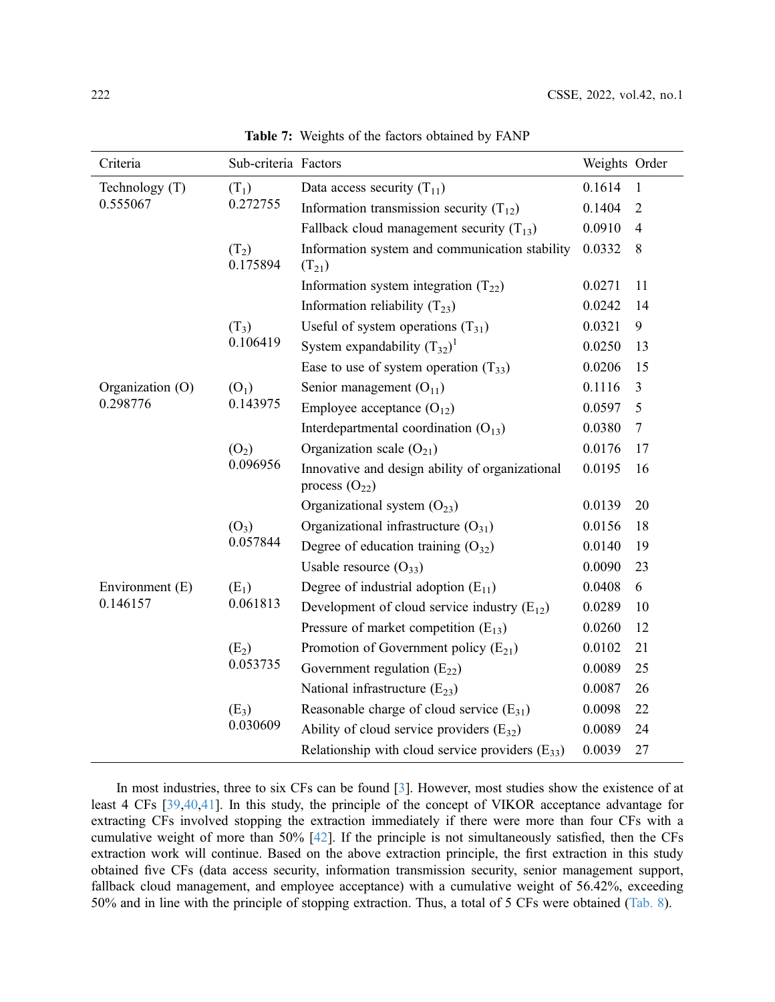<span id="page-9-0"></span>

| Criteria         | Sub-criteria Factors |                                                                       | Weights Order |                |
|------------------|----------------------|-----------------------------------------------------------------------|---------------|----------------|
| Technology (T)   | $(T_1)$              | Data access security $(T_{11})$                                       | 0.1614        | $\mathbf{1}$   |
| 0.555067         | 0.272755             | Information transmission security $(T_{12})$                          | 0.1404        | $\overline{2}$ |
|                  |                      | Fallback cloud management security $(T_{13})$                         | 0.0910        | $\overline{4}$ |
|                  | $(T_2)$<br>0.175894  | Information system and communication stability<br>$(T_{21})$          | 0.0332        | 8              |
|                  |                      | Information system integration $(T_{22})$                             | 0.0271        | 11             |
|                  |                      | Information reliability $(T_{23})$                                    | 0.0242        | 14             |
|                  | $(T_3)$              | Useful of system operations $(T_{31})$                                | 0.0321        | 9              |
|                  | 0.106419             | System expandability $(T_{32})^1$                                     | 0.0250        | 13             |
|                  |                      | Ease to use of system operation $(T_{33})$                            | 0.0206        | 15             |
| Organization (O) | (O <sub>1</sub> )    | Senior management $(O_{11})$                                          | 0.1116        | $\overline{3}$ |
| 0.298776         | 0.143975             | Employee acceptance $(O_{12})$                                        | 0.0597        | 5              |
|                  |                      | Interdepartmental coordination $(O_{13})$                             | 0.0380        | $\tau$         |
|                  | $(O_2)$              | Organization scale $(O_{21})$                                         | 0.0176        | 17             |
|                  | 0.096956             | Innovative and design ability of organizational<br>process $(O_{22})$ | 0.0195        | 16             |
|                  |                      | Organizational system $(O_{23})$                                      | 0.0139        | 20             |
|                  | $(O_3)$              | Organizational infrastructure $(O_{31})$                              | 0.0156        | 18             |
|                  | 0.057844             | Degree of education training $(O_{32})$                               | 0.0140        | 19             |
|                  |                      | Usable resource $(O_{33})$                                            | 0.0090        | 23             |
| Environment (E)  | $(E_1)$              | Degree of industrial adoption $(E_{11})$                              | 0.0408        | 6              |
| 0.146157         | 0.061813             | Development of cloud service industry $(E_{12})$                      | 0.0289        | 10             |
|                  |                      | Pressure of market competition $(E_{13})$                             | 0.0260        | 12             |
|                  | $(E_2)$              | Promotion of Government policy $(E_{21})$                             | 0.0102        | 21             |
|                  | 0.053735             | Government regulation $(E_{22})$                                      | 0.0089        | 25             |
|                  |                      | National infrastructure $(E_{23})$                                    | 0.0087        | 26             |
|                  | $(E_3)$              | Reasonable charge of cloud service $(E_{31})$                         | 0.0098        | 22             |
|                  | 0.030609             | Ability of cloud service providers $(E_{32})$                         | 0.0089        | 24             |
|                  |                      | Relationship with cloud service providers $(E_{33})$                  | 0.0039        | 27             |

Table 7: Weights of the factors obtained by FANP

In most industries, three to six CFs can be found [[3](#page-12-2)]. However, most studies show the existence of at least 4 CFs [[39](#page-14-14)[,40](#page-14-15)[,41](#page-14-16)]. In this study, the principle of the concept of VIKOR acceptance advantage for extracting CFs involved stopping the extraction immediately if there were more than four CFs with a cumulative weight of more than 50% [\[42](#page-14-17)]. If the principle is not simultaneously satisfied, then the CFs extraction work will continue. Based on the above extraction principle, the first extraction in this study obtained five CFs (data access security, information transmission security, senior management support, fallback cloud management, and employee acceptance) with a cumulative weight of 56.42%, exceeding 50% and in line with the principle of stopping extraction. Thus, a total of 5 CFs were obtained [\(Tab. 8\)](#page-10-0).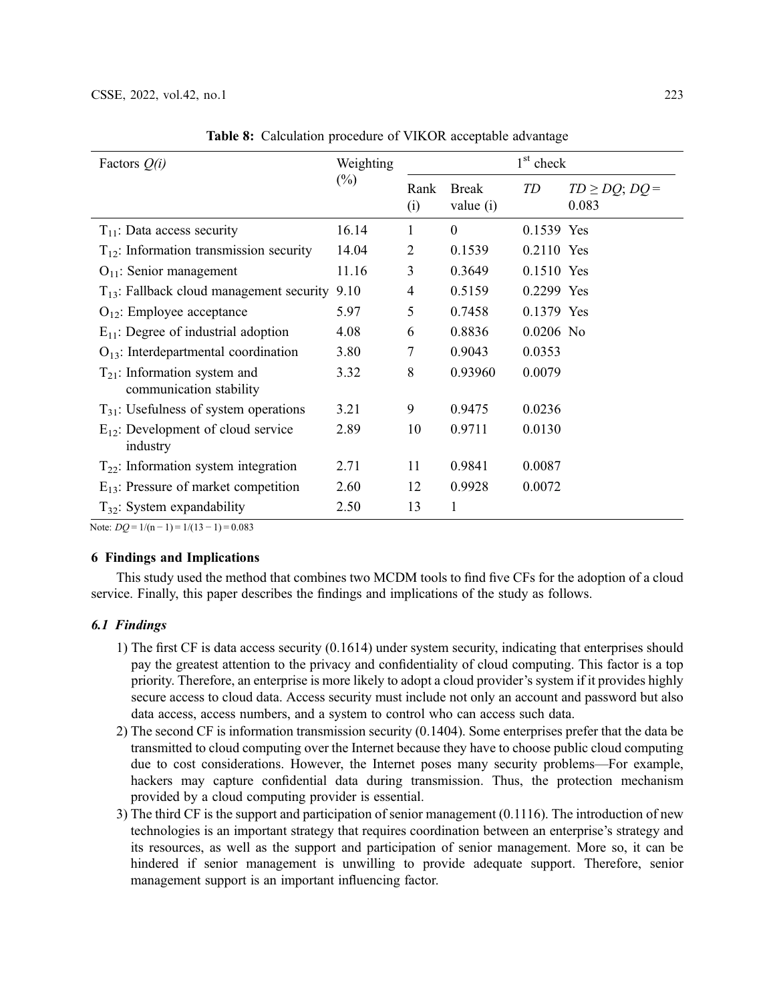<span id="page-10-0"></span>

| Factors $Q(i)$                                               | Weighting |             |                           | $1st$ check |                               |
|--------------------------------------------------------------|-----------|-------------|---------------------------|-------------|-------------------------------|
|                                                              | $(\%)$    | Rank<br>(i) | <b>Break</b><br>value (i) | TD          | $TD \ge DQ$ ; $DQ =$<br>0.083 |
| $T_{11}$ : Data access security                              | 16.14     | 1           | $\Omega$                  | 0.1539 Yes  |                               |
| $T_{12}$ : Information transmission security                 | 14.04     | 2           | 0.1539                    | 0.2110 Yes  |                               |
| $O_{11}$ : Senior management                                 | 11.16     | 3           | 0.3649                    | 0.1510 Yes  |                               |
| $T_{13}$ : Fallback cloud management security                | 9.10      | 4           | 0.5159                    | 0.2299 Yes  |                               |
| $O_{12}$ : Employee acceptance                               | 5.97      | 5           | 0.7458                    | 0.1379 Yes  |                               |
| $E_{11}$ : Degree of industrial adoption                     | 4.08      | 6           | 0.8836                    | $0.0206$ No |                               |
| $O_{13}$ : Interdepartmental coordination                    | 3.80      | 7           | 0.9043                    | 0.0353      |                               |
| $T_{21}$ : Information system and<br>communication stability | 3.32      | 8           | 0.93960                   | 0.0079      |                               |
| $T_{31}$ : Usefulness of system operations                   | 3.21      | 9           | 0.9475                    | 0.0236      |                               |
| $E_{12}$ : Development of cloud service<br>industry          | 2.89      | 10          | 0.9711                    | 0.0130      |                               |
| $T_{22}$ : Information system integration                    | 2.71      | 11          | 0.9841                    | 0.0087      |                               |
| $E_{13}$ : Pressure of market competition                    | 2.60      | 12          | 0.9928                    | 0.0072      |                               |
| $T_{32}$ : System expandability                              | 2.50      | 13          | 1                         |             |                               |

Table 8: Calculation procedure of VIKOR acceptable advantage

Note:  $DQ = 1/(n-1) = 1/(13-1) = 0.083$ 

## 6 Findings and Implications

This study used the method that combines two MCDM tools to find five CFs for the adoption of a cloud service. Finally, this paper describes the findings and implications of the study as follows.

# 6.1 Findings

- 1) The first CF is data access security (0.1614) under system security, indicating that enterprises should pay the greatest attention to the privacy and confidentiality of cloud computing. This factor is a top priority. Therefore, an enterprise is more likely to adopt a cloud provider's system if it provides highly secure access to cloud data. Access security must include not only an account and password but also data access, access numbers, and a system to control who can access such data.
- 2) The second CF is information transmission security (0.1404). Some enterprises prefer that the data be transmitted to cloud computing over the Internet because they have to choose public cloud computing due to cost considerations. However, the Internet poses many security problems—For example, hackers may capture confidential data during transmission. Thus, the protection mechanism provided by a cloud computing provider is essential.
- 3) The third CF is the support and participation of senior management (0.1116). The introduction of new technologies is an important strategy that requires coordination between an enterprise's strategy and its resources, as well as the support and participation of senior management. More so, it can be hindered if senior management is unwilling to provide adequate support. Therefore, senior management support is an important influencing factor.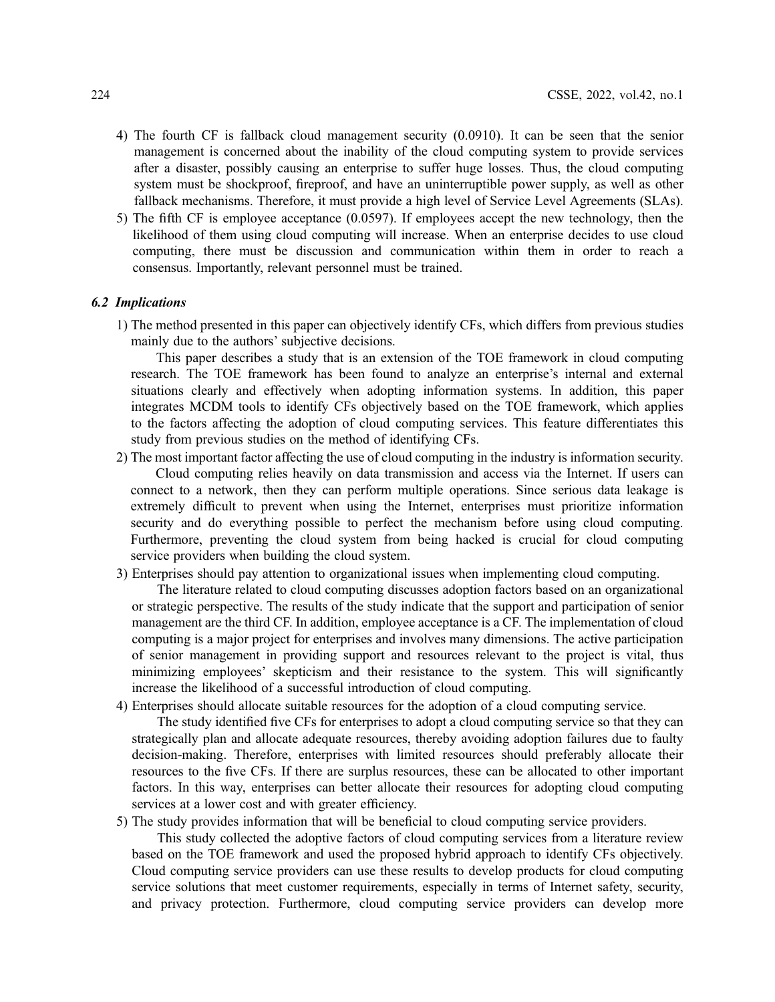- 4) The fourth CF is fallback cloud management security (0.0910). It can be seen that the senior management is concerned about the inability of the cloud computing system to provide services after a disaster, possibly causing an enterprise to suffer huge losses. Thus, the cloud computing system must be shockproof, fireproof, and have an uninterruptible power supply, as well as other fallback mechanisms. Therefore, it must provide a high level of Service Level Agreements (SLAs).
- 5) The fifth CF is employee acceptance (0.0597). If employees accept the new technology, then the likelihood of them using cloud computing will increase. When an enterprise decides to use cloud computing, there must be discussion and communication within them in order to reach a consensus. Importantly, relevant personnel must be trained.

#### 6.2 Implications

1) The method presented in this paper can objectively identify CFs, which differs from previous studies mainly due to the authors' subjective decisions.

This paper describes a study that is an extension of the TOE framework in cloud computing research. The TOE framework has been found to analyze an enterprise's internal and external situations clearly and effectively when adopting information systems. In addition, this paper integrates MCDM tools to identify CFs objectively based on the TOE framework, which applies to the factors affecting the adoption of cloud computing services. This feature differentiates this study from previous studies on the method of identifying CFs.

- 2) The most important factor affecting the use of cloud computing in the industry is information security. Cloud computing relies heavily on data transmission and access via the Internet. If users can connect to a network, then they can perform multiple operations. Since serious data leakage is extremely difficult to prevent when using the Internet, enterprises must prioritize information security and do everything possible to perfect the mechanism before using cloud computing. Furthermore, preventing the cloud system from being hacked is crucial for cloud computing service providers when building the cloud system.
- 3) Enterprises should pay attention to organizational issues when implementing cloud computing.

The literature related to cloud computing discusses adoption factors based on an organizational or strategic perspective. The results of the study indicate that the support and participation of senior management are the third CF. In addition, employee acceptance is a CF. The implementation of cloud computing is a major project for enterprises and involves many dimensions. The active participation of senior management in providing support and resources relevant to the project is vital, thus minimizing employees' skepticism and their resistance to the system. This will significantly increase the likelihood of a successful introduction of cloud computing.

4) Enterprises should allocate suitable resources for the adoption of a cloud computing service.

The study identified five CFs for enterprises to adopt a cloud computing service so that they can strategically plan and allocate adequate resources, thereby avoiding adoption failures due to faulty decision-making. Therefore, enterprises with limited resources should preferably allocate their resources to the five CFs. If there are surplus resources, these can be allocated to other important factors. In this way, enterprises can better allocate their resources for adopting cloud computing services at a lower cost and with greater efficiency.

5) The study provides information that will be beneficial to cloud computing service providers.

This study collected the adoptive factors of cloud computing services from a literature review based on the TOE framework and used the proposed hybrid approach to identify CFs objectively. Cloud computing service providers can use these results to develop products for cloud computing service solutions that meet customer requirements, especially in terms of Internet safety, security, and privacy protection. Furthermore, cloud computing service providers can develop more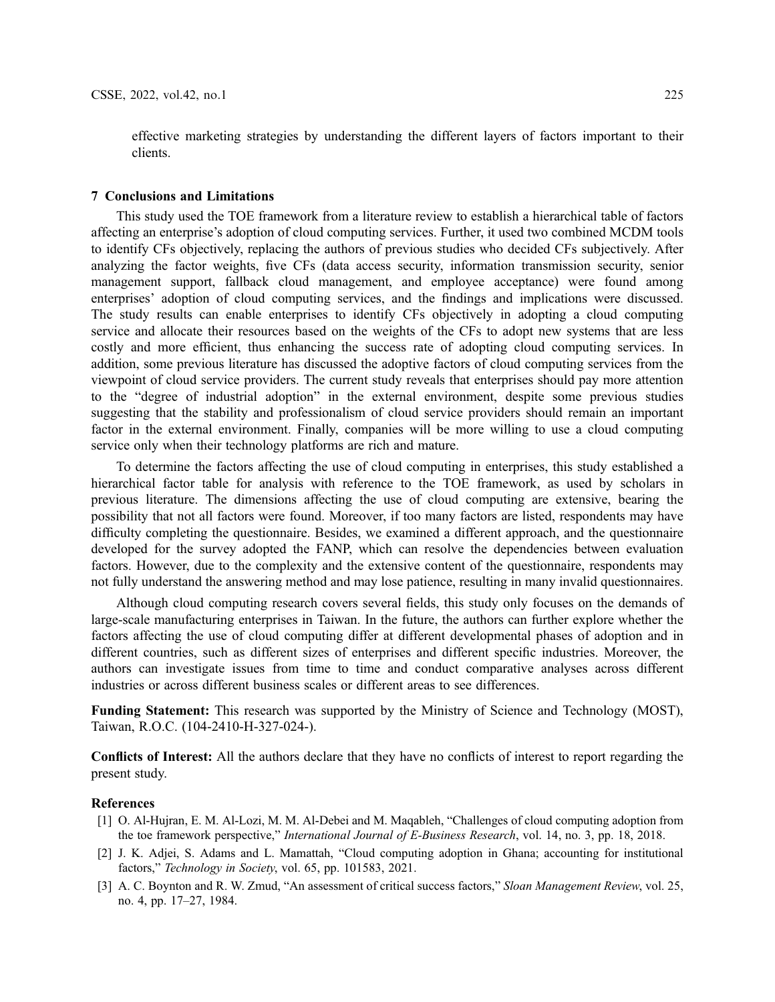effective marketing strategies by understanding the different layers of factors important to their clients.

#### 7 Conclusions and Limitations

This study used the TOE framework from a literature review to establish a hierarchical table of factors affecting an enterprise's adoption of cloud computing services. Further, it used two combined MCDM tools to identify CFs objectively, replacing the authors of previous studies who decided CFs subjectively. After analyzing the factor weights, five CFs (data access security, information transmission security, senior management support, fallback cloud management, and employee acceptance) were found among enterprises' adoption of cloud computing services, and the findings and implications were discussed. The study results can enable enterprises to identify CFs objectively in adopting a cloud computing service and allocate their resources based on the weights of the CFs to adopt new systems that are less costly and more efficient, thus enhancing the success rate of adopting cloud computing services. In addition, some previous literature has discussed the adoptive factors of cloud computing services from the viewpoint of cloud service providers. The current study reveals that enterprises should pay more attention to the "degree of industrial adoption" in the external environment, despite some previous studies suggesting that the stability and professionalism of cloud service providers should remain an important factor in the external environment. Finally, companies will be more willing to use a cloud computing service only when their technology platforms are rich and mature.

To determine the factors affecting the use of cloud computing in enterprises, this study established a hierarchical factor table for analysis with reference to the TOE framework, as used by scholars in previous literature. The dimensions affecting the use of cloud computing are extensive, bearing the possibility that not all factors were found. Moreover, if too many factors are listed, respondents may have difficulty completing the questionnaire. Besides, we examined a different approach, and the questionnaire developed for the survey adopted the FANP, which can resolve the dependencies between evaluation factors. However, due to the complexity and the extensive content of the questionnaire, respondents may not fully understand the answering method and may lose patience, resulting in many invalid questionnaires.

Although cloud computing research covers several fields, this study only focuses on the demands of large-scale manufacturing enterprises in Taiwan. In the future, the authors can further explore whether the factors affecting the use of cloud computing differ at different developmental phases of adoption and in different countries, such as different sizes of enterprises and different specific industries. Moreover, the authors can investigate issues from time to time and conduct comparative analyses across different industries or across different business scales or different areas to see differences.

Funding Statement: This research was supported by the Ministry of Science and Technology (MOST), Taiwan, R.O.C. (104-2410-H-327-024-).

Conflicts of Interest: All the authors declare that they have no conflicts of interest to report regarding the present study.

#### References

- <span id="page-12-0"></span>[1] O. Al-Hujran, E. M. Al-Lozi, M. M. Al-Debei and M. Maqableh, "Challenges of cloud computing adoption from the toe framework perspective," International Journal of E-Business Research, vol. 14, no. 3, pp. 18, 2018.
- <span id="page-12-1"></span>[2] J. K. Adjei, S. Adams and L. Mamattah, "Cloud computing adoption in Ghana; accounting for institutional factors," Technology in Society, vol. 65, pp. 101583, 2021.
- <span id="page-12-2"></span>[3] A. C. Boynton and R. W. Zmud, "An assessment of critical success factors," Sloan Management Review, vol. 25, no. 4, pp. 17–27, 1984.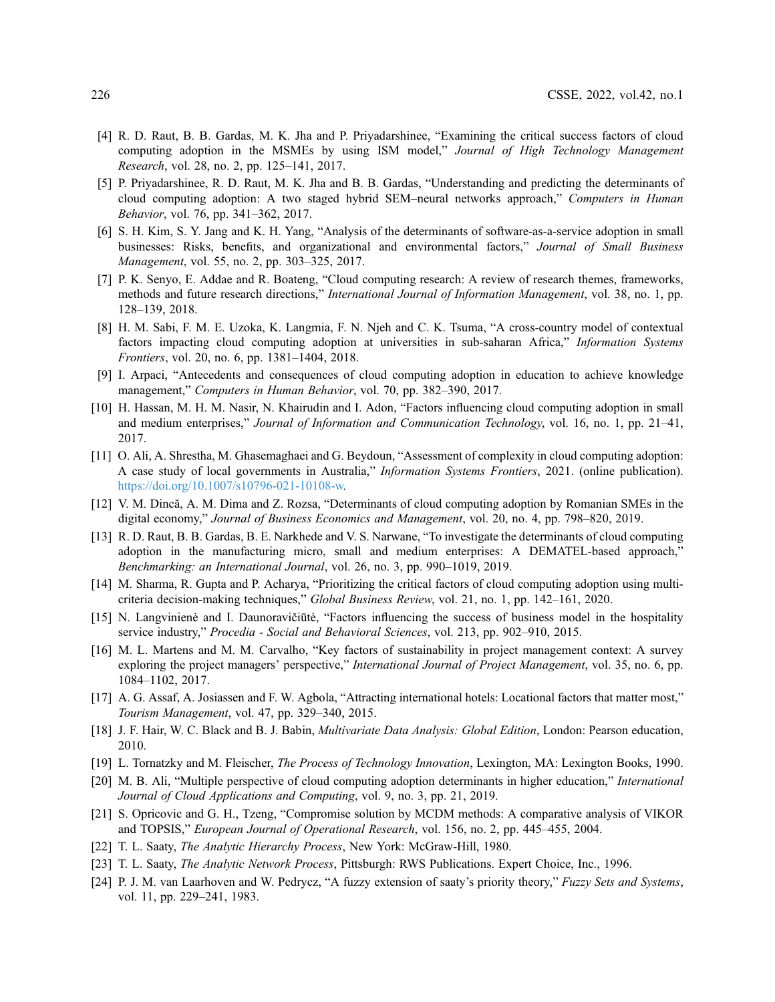- <span id="page-13-0"></span>[4] R. D. Raut, B. B. Gardas, M. K. Jha and P. Priyadarshinee, "Examining the critical success factors of cloud computing adoption in the MSMEs by using ISM model," Journal of High Technology Management Research, vol. 28, no. 2, pp. 125–141, 2017.
- <span id="page-13-1"></span>[5] P. Priyadarshinee, R. D. Raut, M. K. Jha and B. B. Gardas, "Understanding and predicting the determinants of cloud computing adoption: A two staged hybrid SEM–neural networks approach," Computers in Human Behavior, vol. 76, pp. 341–362, 2017.
- <span id="page-13-2"></span>[6] S. H. Kim, S. Y. Jang and K. H. Yang, "Analysis of the determinants of software-as-a-service adoption in small businesses: Risks, benefits, and organizational and environmental factors," Journal of Small Business Management, vol. 55, no. 2, pp. 303–325, 2017.
- <span id="page-13-3"></span>[7] P. K. Senyo, E. Addae and R. Boateng, "Cloud computing research: A review of research themes, frameworks, methods and future research directions," International Journal of Information Management, vol. 38, no. 1, pp. 128–139, 2018.
- <span id="page-13-4"></span>[8] H. M. Sabi, F. M. E. Uzoka, K. Langmia, F. N. Njeh and C. K. Tsuma, "A cross-country model of contextual factors impacting cloud computing adoption at universities in sub-saharan Africa," Information Systems Frontiers, vol. 20, no. 6, pp. 1381–1404, 2018.
- <span id="page-13-5"></span>[9] I. Arpaci, "Antecedents and consequences of cloud computing adoption in education to achieve knowledge management," Computers in Human Behavior, vol. 70, pp. 382–390, 2017.
- <span id="page-13-6"></span>[10] H. Hassan, M. H. M. Nasir, N. Khairudin and I. Adon, "Factors influencing cloud computing adoption in small and medium enterprises," Journal of Information and Communication Technology, vol. 16, no. 1, pp. 21–41, 2017.
- <span id="page-13-7"></span>[11] O. Ali, A. Shrestha, M. Ghasemaghaei and G. Beydoun, "Assessment of complexity in cloud computing adoption: A case study of local governments in Australia," Information Systems Frontiers, 2021. (online publication). <https://doi.org/10.1007/s10796-021-10108-w>.
- <span id="page-13-8"></span>[12] V. M. Dincă, A. M. Dima and Z. Rozsa, "Determinants of cloud computing adoption by Romanian SMEs in the digital economy," Journal of Business Economics and Management, vol. 20, no. 4, pp. 798–820, 2019.
- <span id="page-13-9"></span>[13] R. D. Raut, B. B. Gardas, B. E. Narkhede and V. S. Narwane, "To investigate the determinants of cloud computing adoption in the manufacturing micro, small and medium enterprises: A DEMATEL-based approach," Benchmarking: an International Journal, vol. 26, no. 3, pp. 990–1019, 2019.
- <span id="page-13-10"></span>[14] M. Sharma, R. Gupta and P. Acharya, "Prioritizing the critical factors of cloud computing adoption using multicriteria decision-making techniques," Global Business Review, vol. 21, no. 1, pp. 142–161, 2020.
- <span id="page-13-11"></span>[15] N. Langvinienė and I. Daunoravičiūtė, "Factors influencing the success of business model in the hospitality service industry," Procedia - Social and Behavioral Sciences, vol. 213, pp. 902–910, 2015.
- <span id="page-13-12"></span>[16] M. L. Martens and M. M. Carvalho, "Key factors of sustainability in project management context: A survey exploring the project managers' perspective," International Journal of Project Management, vol. 35, no. 6, pp. 1084–1102, 2017.
- <span id="page-13-13"></span>[17] A. G. Assaf, A. Josiassen and F. W. Agbola, "Attracting international hotels: Locational factors that matter most," Tourism Management, vol. 47, pp. 329–340, 2015.
- <span id="page-13-14"></span>[18] J. F. Hair, W. C. Black and B. J. Babin, *Multivariate Data Analysis: Global Edition*, London: Pearson education, 2010.
- <span id="page-13-15"></span>[19] L. Tornatzky and M. Fleischer, The Process of Technology Innovation, Lexington, MA: Lexington Books, 1990.
- <span id="page-13-16"></span>[20] M. B. Ali, "Multiple perspective of cloud computing adoption determinants in higher education," *International* Journal of Cloud Applications and Computing, vol. 9, no. 3, pp. 21, 2019.
- <span id="page-13-17"></span>[21] S. Opricovic and G. H., Tzeng, "Compromise solution by MCDM methods: A comparative analysis of VIKOR and TOPSIS," European Journal of Operational Research, vol. 156, no. 2, pp. 445–455, 2004.
- <span id="page-13-18"></span>[22] T. L. Saaty, The Analytic Hierarchy Process, New York: McGraw-Hill, 1980.
- <span id="page-13-19"></span>[23] T. L. Saaty, The Analytic Network Process, Pittsburgh: RWS Publications. Expert Choice, Inc., 1996.
- <span id="page-13-20"></span>[24] P. J. M. van Laarhoven and W. Pedrycz, "A fuzzy extension of saaty's priority theory," Fuzzy Sets and Systems, vol. 11, pp. 229–241, 1983.